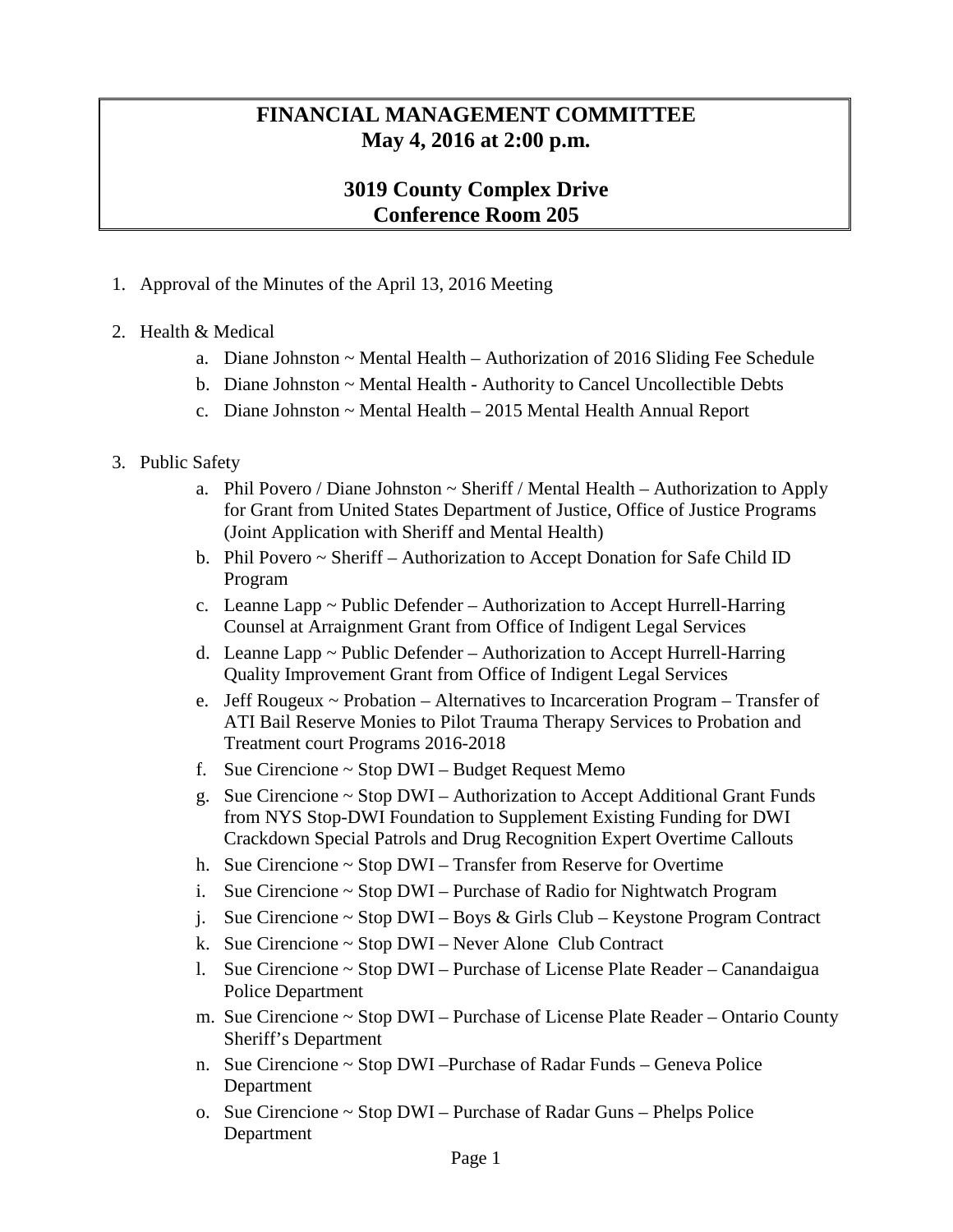## **FINANCIAL MANAGEMENT COMMITTEE May 4, 2016 at 2:00 p.m.**

## **3019 County Complex Drive Conference Room 205**

- 1. Approval of the Minutes of the April 13, 2016 Meeting
- 2. Health & Medical
	- a. Diane Johnston ~ Mental Health Authorization of 2016 Sliding Fee Schedule
	- b. Diane Johnston ~ Mental Health Authority to Cancel Uncollectible Debts
	- c. Diane Johnston ~ Mental Health 2015 Mental Health Annual Report

## 3. Public Safety

- a. Phil Povero / Diane Johnston  $\sim$  Sheriff / Mental Health Authorization to Apply for Grant from United States Department of Justice, Office of Justice Programs (Joint Application with Sheriff and Mental Health)
- b. Phil Povero ~ Sheriff Authorization to Accept Donation for Safe Child ID Program
- c. Leanne Lapp ~ Public Defender Authorization to Accept Hurrell-Harring Counsel at Arraignment Grant from Office of Indigent Legal Services
- d. Leanne Lapp ~ Public Defender Authorization to Accept Hurrell-Harring Quality Improvement Grant from Office of Indigent Legal Services
- e. Jeff Rougeux  $\sim$  Probation Alternatives to Incarceration Program Transfer of ATI Bail Reserve Monies to Pilot Trauma Therapy Services to Probation and Treatment court Programs 2016-2018
- f. Sue Cirencione  $\sim$  Stop DWI Budget Request Memo
- g. Sue Cirencione ~ Stop DWI Authorization to Accept Additional Grant Funds from NYS Stop-DWI Foundation to Supplement Existing Funding for DWI Crackdown Special Patrols and Drug Recognition Expert Overtime Callouts
- h. Sue Cirencione ~ Stop DWI Transfer from Reserve for Overtime
- i. Sue Cirencione  $\sim$  Stop DWI Purchase of Radio for Nightwatch Program
- j. Sue Cirencione ~ Stop DWI Boys & Girls Club Keystone Program Contract
- k. Sue Cirencione ~ Stop DWI Never Alone Club Contract
- l. Sue Cirencione ~ Stop DWI Purchase of License Plate Reader Canandaigua Police Department
- m. Sue Cirencione ~ Stop DWI Purchase of License Plate Reader Ontario County Sheriff's Department
- n. Sue Cirencione ~ Stop DWI –Purchase of Radar Funds Geneva Police Department
- o. Sue Cirencione ~ Stop DWI Purchase of Radar Guns Phelps Police Department